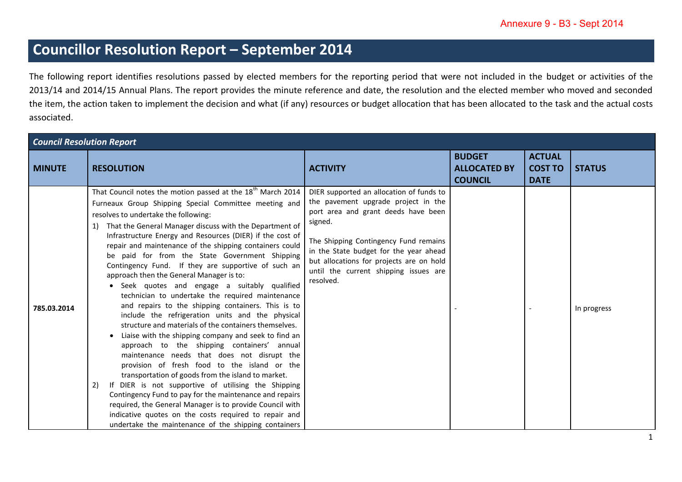## **Councillor Resolution Report – September 2014**

The following report identifies resolutions passed by elected members for the reporting period that were not included in the budget or activities of the 2013/14 and 2014/15 Annual Plans. The report provides the minute reference and date, the resolution and the elected member who moved and seconded the item, the action taken to implement the decision and what (if any) resources or budget allocation that has been allocated to the task and the actual costs associated.

| <b>Council Resolution Report</b> |                                                                                                                                                                                                                                                                                                                                                                                                                                                                                                                                                                                                                                                                                                                                                                                                                                                                                                                                                                                                                                                                                                                                                                                                                                                                                                                                                              |                                                                                                                                                                                                                                                                                                                        |                                                        |                                                |               |  |
|----------------------------------|--------------------------------------------------------------------------------------------------------------------------------------------------------------------------------------------------------------------------------------------------------------------------------------------------------------------------------------------------------------------------------------------------------------------------------------------------------------------------------------------------------------------------------------------------------------------------------------------------------------------------------------------------------------------------------------------------------------------------------------------------------------------------------------------------------------------------------------------------------------------------------------------------------------------------------------------------------------------------------------------------------------------------------------------------------------------------------------------------------------------------------------------------------------------------------------------------------------------------------------------------------------------------------------------------------------------------------------------------------------|------------------------------------------------------------------------------------------------------------------------------------------------------------------------------------------------------------------------------------------------------------------------------------------------------------------------|--------------------------------------------------------|------------------------------------------------|---------------|--|
| <b>MINUTE</b>                    | <b>RESOLUTION</b>                                                                                                                                                                                                                                                                                                                                                                                                                                                                                                                                                                                                                                                                                                                                                                                                                                                                                                                                                                                                                                                                                                                                                                                                                                                                                                                                            | <b>ACTIVITY</b>                                                                                                                                                                                                                                                                                                        | <b>BUDGET</b><br><b>ALLOCATED BY</b><br><b>COUNCIL</b> | <b>ACTUAL</b><br><b>COST TO</b><br><b>DATE</b> | <b>STATUS</b> |  |
| 785.03.2014                      | That Council notes the motion passed at the 18 <sup>th</sup> March 2014<br>Furneaux Group Shipping Special Committee meeting and<br>resolves to undertake the following:<br>1) That the General Manager discuss with the Department of<br>Infrastructure Energy and Resources (DIER) if the cost of<br>repair and maintenance of the shipping containers could<br>be paid for from the State Government Shipping<br>Contingency Fund. If they are supportive of such an<br>approach then the General Manager is to:<br>• Seek quotes and engage a suitably qualified<br>technician to undertake the required maintenance<br>and repairs to the shipping containers. This is to<br>include the refrigeration units and the physical<br>structure and materials of the containers themselves.<br>Liaise with the shipping company and seek to find an<br>approach to the shipping containers' annual<br>maintenance needs that does not disrupt the<br>provision of fresh food to the island or the<br>transportation of goods from the island to market.<br>If DIER is not supportive of utilising the Shipping<br>2)<br>Contingency Fund to pay for the maintenance and repairs<br>required, the General Manager is to provide Council with<br>indicative quotes on the costs required to repair and<br>undertake the maintenance of the shipping containers | DIER supported an allocation of funds to<br>the pavement upgrade project in the<br>port area and grant deeds have been<br>signed.<br>The Shipping Contingency Fund remains<br>in the State budget for the year ahead<br>but allocations for projects are on hold<br>until the current shipping issues are<br>resolved. |                                                        |                                                | In progress   |  |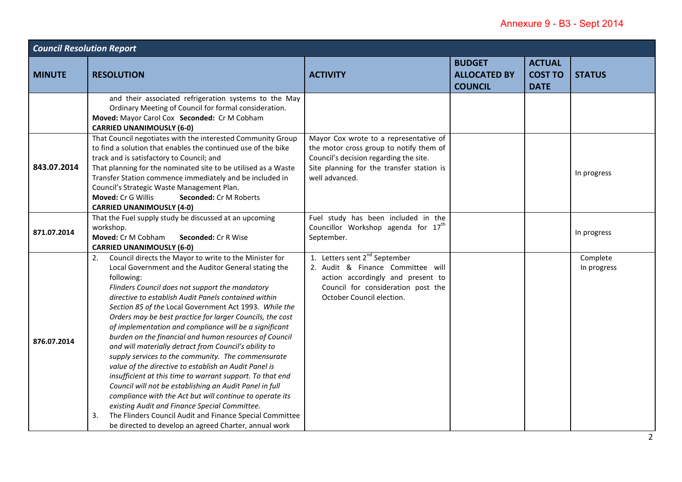| <b>Council Resolution Report</b> |                                                                                                                                                                                                                                                                                                                                                                                                                                                                                                                                                                                                                                                                                                                                                                                                                                                                                                                                                                                                                                  |                                                                                                                                                                                            |                                                        |                                                |                         |  |
|----------------------------------|----------------------------------------------------------------------------------------------------------------------------------------------------------------------------------------------------------------------------------------------------------------------------------------------------------------------------------------------------------------------------------------------------------------------------------------------------------------------------------------------------------------------------------------------------------------------------------------------------------------------------------------------------------------------------------------------------------------------------------------------------------------------------------------------------------------------------------------------------------------------------------------------------------------------------------------------------------------------------------------------------------------------------------|--------------------------------------------------------------------------------------------------------------------------------------------------------------------------------------------|--------------------------------------------------------|------------------------------------------------|-------------------------|--|
| <b>MINUTE</b>                    | <b>RESOLUTION</b>                                                                                                                                                                                                                                                                                                                                                                                                                                                                                                                                                                                                                                                                                                                                                                                                                                                                                                                                                                                                                | <b>ACTIVITY</b>                                                                                                                                                                            | <b>BUDGET</b><br><b>ALLOCATED BY</b><br><b>COUNCIL</b> | <b>ACTUAL</b><br><b>COST TO</b><br><b>DATE</b> | <b>STATUS</b>           |  |
|                                  | and their associated refrigeration systems to the May<br>Ordinary Meeting of Council for formal consideration.<br>Moved: Mayor Carol Cox Seconded: Cr M Cobham<br><b>CARRIED UNANIMOUSLY (6-0)</b>                                                                                                                                                                                                                                                                                                                                                                                                                                                                                                                                                                                                                                                                                                                                                                                                                               |                                                                                                                                                                                            |                                                        |                                                |                         |  |
| 843.07.2014                      | That Council negotiates with the interested Community Group<br>to find a solution that enables the continued use of the bike<br>track and is satisfactory to Council; and<br>That planning for the nominated site to be utilised as a Waste<br>Transfer Station commence immediately and be included in<br>Council's Strategic Waste Management Plan.<br>Moved: Cr G Willis<br>Seconded: Cr M Roberts<br><b>CARRIED UNANIMOUSLY (4-0)</b>                                                                                                                                                                                                                                                                                                                                                                                                                                                                                                                                                                                        | Mayor Cox wrote to a representative of<br>the motor cross group to notify them of<br>Council's decision regarding the site.<br>Site planning for the transfer station is<br>well advanced. |                                                        |                                                | In progress             |  |
| 871.07.2014                      | That the Fuel supply study be discussed at an upcoming<br>workshop.<br>Moved: Cr M Cobham<br>Seconded: Cr R Wise<br><b>CARRIED UNANIMOUSLY (6-0)</b>                                                                                                                                                                                                                                                                                                                                                                                                                                                                                                                                                                                                                                                                                                                                                                                                                                                                             | Fuel study has been included in the<br>Councillor Workshop agenda for 17 <sup>th</sup><br>September.                                                                                       |                                                        |                                                | In progress             |  |
| 876.07.2014                      | Council directs the Mayor to write to the Minister for<br>2.<br>Local Government and the Auditor General stating the<br>following:<br>Flinders Council does not support the mandatory<br>directive to establish Audit Panels contained within<br>Section 85 of the Local Government Act 1993. While the<br>Orders may be best practice for larger Councils, the cost<br>of implementation and compliance will be a significant<br>burden on the financial and human resources of Council<br>and will materially detract from Council's ability to<br>supply services to the community. The commensurate<br>value of the directive to establish an Audit Panel is<br>insufficient at this time to warrant support. To that end<br>Council will not be establishing an Audit Panel in full<br>compliance with the Act but will continue to operate its<br>existing Audit and Finance Special Committee.<br>3.<br>The Flinders Council Audit and Finance Special Committee<br>be directed to develop an agreed Charter, annual work | 1. Letters sent 2 <sup>nd</sup> September<br>2. Audit & Finance Committee will<br>action accordingly and present to<br>Council for consideration post the<br>October Council election.     |                                                        |                                                | Complete<br>In progress |  |